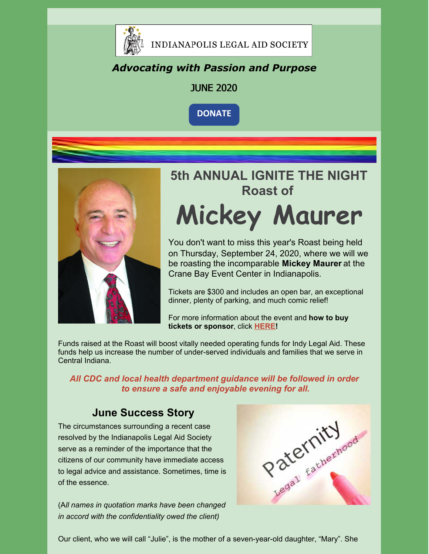

#### *Advocating with Passion and Purpose*

#### JUNE 2020

**[DONATE](https://www.indylas.org/support-legal-aid)**



# **5th ANNUAL IGNITE THE NIGHT Roast of Mickey Maurer**

You don't want to miss this year's Roast being held on Thursday, September 24, 2020, where we will we be roasting the incomparable **Mickey Maurer** at the Crane Bay Event Center in Indianapolis.

Tickets are \$300 and includes an open bar, an exceptional dinner, plenty of parking, and much comic relief!

For more information about the event and **how to buy tickets or sponsor**, click **[HERE](https://www.indylas.org/2020-ignite-the-night)[!](https://em-ui.constantcontact.com/em-ui/em/page/em-ui/email#)**

Funds raised at the Roast will boost vitally needed operating funds for Indy Legal Aid. These funds help us increase the number of under-served individuals and families that we serve in Central Indiana.

*All CDC and local health department guidance will be followed in order to ensure a safe and enjoyable evening for all.*

#### **June Success Story**

The circumstances surrounding a recent case resolved by the Indianapolis Legal Aid Society serve as a reminder of the importance that the citizens of our community have immediate access to legal advice and assistance. Sometimes, time is of the essence.

(A*ll names in quotation marks have been changed in accord with the confidentiality owed the client)*



Our client, who we will call "Julie", is the mother of a seven-year-old daughter, "Mary". She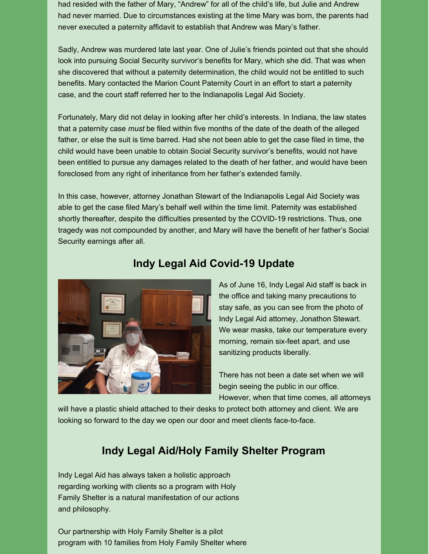had resided with the father of Mary, "Andrew" for all of the child's life, but Julie and Andrew had never married. Due to circumstances existing at the time Mary was born, the parents had never executed a paternity affidavit to establish that Andrew was Mary's father.

Sadly, Andrew was murdered late last year. One of Julie's friends pointed out that she should look into pursuing Social Security survivor's benefits for Mary, which she did. That was when she discovered that without a paternity determination, the child would not be entitled to such benefits. Mary contacted the Marion Count Paternity Court in an effort to start a paternity case, and the court staff referred her to the Indianapolis Legal Aid Society.

Fortunately, Mary did not delay in looking after her child's interests. In Indiana, the law states that a paternity case *must* be filed within five months of the date of the death of the alleged father, or else the suit is time barred. Had she not been able to get the case filed in time, the child would have been unable to obtain Social Security survivor's benefits, would not have been entitled to pursue any damages related to the death of her father, and would have been foreclosed from any right of inheritance from her father's extended family.

In this case, however, attorney Jonathan Stewart of the Indianapolis Legal Aid Society was able to get the case filed Mary's behalf well within the time limit. Paternity was established shortly thereafter, despite the difficulties presented by the COVID-19 restrictions. Thus, one tragedy was not compounded by another, and Mary will have the benefit of her father's Social Security earnings after all.



#### **Indy Legal Aid Covid-19 Update**

As of June 16, Indy Legal Aid staff is back in the office and taking many precautions to stay safe, as you can see from the photo of Indy Legal Aid attorney, Jonathon Stewart. We wear masks, take our temperature every morning, remain six-feet apart, and use sanitizing products liberally.

There has not been a date set when we will begin seeing the public in our office. However, when that time comes, all attorneys

will have a plastic shield attached to their desks to protect both attorney and client. We are looking so forward to the day we open our door and meet clients face-to-face.

#### **Indy Legal Aid/Holy Family Shelter Program**

Indy Legal Aid has always taken a holistic approach regarding working with clients so a program with Holy Family Shelter is a natural manifestation of our actions and philosophy.

Our partnership with Holy Family Shelter is a pilot program with 10 families from Holy Family Shelter where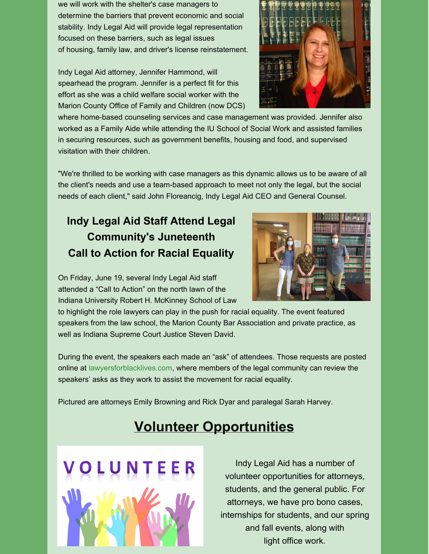we will work with the shelter's case managers to determine the barriers that prevent economic and social stability. Indy Legal Aid will provide legal representation focused on these barriers, such as legal issues of housing, family law, and driver's license reinstatement.

Indy Legal Aid attorney, Jennifer Hammond, will spearhead the program. Jennifer is a perfect fit for this effort as she was a child welfare social worker with the Marion County Office of Family and Children (now DCS)

where home-based counseling services and case management was provided. Jennifer also worked as a Family Aide while attending the IU School of Social Work and assisted families in securing resources, such as government benefits, housing and food, and supervised visitation with their children.

"We're thrilled to be working with case managers as this dynamic allows us to be aware of all the client's needs and use a team-based approach to meet not only the legal, but the social needs of each client," said John Floreancig, Indy Legal Aid CEO and General Counsel.

### **Indy Legal Aid Staff Attend Legal Community's Juneteenth Call to Action for Racial Equality**

On Friday, June 19, several Indy Legal Aid staff attended a "Call to Action" on the north lawn of the Indiana University Robert H. McKinney School of Law

to highlight the role lawyers can play in the push for racial equality. The event featured speakers from the law school, the Marion County Bar Association and private practice, as well as Indiana Supreme Court Justice Steven David.

During the event, the speakers each made an "ask" of attendees. Those requests are posted online at [lawyersforblacklives.com,](https://lawyersforblacklives.com/) where members of the legal community can review the speakers' asks as they work to assist the movement for racial equality.

Pictured are attorneys Emily Browning and Rick Dyar and paralegal Sarah Harvey.

### **Volunteer Opportunities**

Indy Legal Aid has a number of volunteer opportunities for attorneys, students, and the general public. For attorneys, we have pro bono cases, internships for students, and our spring and fall events, along with light office work.